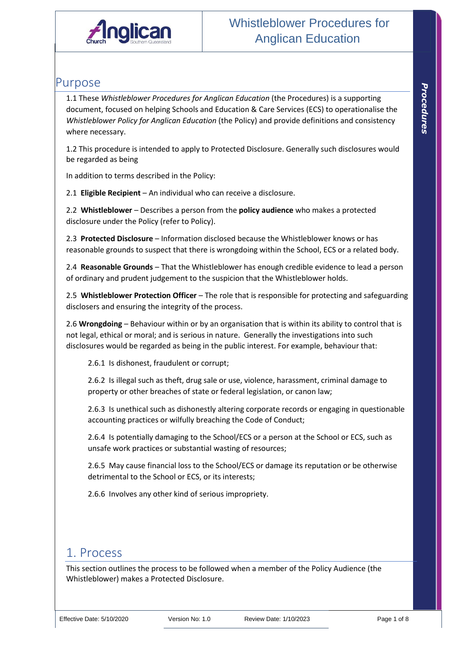

## Purpose

1.1 These *Whistleblower Procedures for Anglican Education* (the Procedures) is a supporting document, focused on helping Schools and Education & Care Services (ECS) to operationalise the *Whistleblower Policy for Anglican Education* (the Policy) and provide definitions and consistency where necessary.

1.2 This procedure is intended to apply to Protected Disclosure. Generally such disclosures would be regarded as being

In addition to terms described in the Policy:

2.1 **Eligible Recipient** – An individual who can receive a disclosure.

2.2 **Whistleblower** – Describes a person from the **policy audience** who makes a protected disclosure under the Policy (refer to Policy).

2.3 **Protected Disclosure** – Information disclosed because the Whistleblower knows or has reasonable grounds to suspect that there is wrongdoing within the School, ECS or a related body.

2.4 **Reasonable Grounds** – That the Whistleblower has enough credible evidence to lead a person of ordinary and prudent judgement to the suspicion that the Whistleblower holds.

2.5 **Whistleblower Protection Officer** – The role that is responsible for protecting and safeguarding disclosers and ensuring the integrity of the process.

2.6 **Wrongdoing** – Behaviour within or by an organisation that is within its ability to control that is not legal, ethical or moral; and is serious in nature. Generally the investigations into such disclosures would be regarded as being in the public interest. For example, behaviour that:

2.6.1 Is dishonest, fraudulent or corrupt;

2.6.2 Is illegal such as theft, drug sale or use, violence, harassment, criminal damage to property or other breaches of state or federal legislation, or canon law;

2.6.3 Is unethical such as dishonestly altering corporate records or engaging in questionable accounting practices or wilfully breaching the Code of Conduct;

2.6.4 Is potentially damaging to the School/ECS or a person at the School or ECS, such as unsafe work practices or substantial wasting of resources;

2.6.5 May cause financial loss to the School/ECS or damage its reputation or be otherwise detrimental to the School or ECS, or its interests;

2.6.6 Involves any other kind of serious impropriety.

## 1. Process

This section outlines the process to be followed when a member of the Policy Audience (the Whistleblower) makes a Protected Disclosure.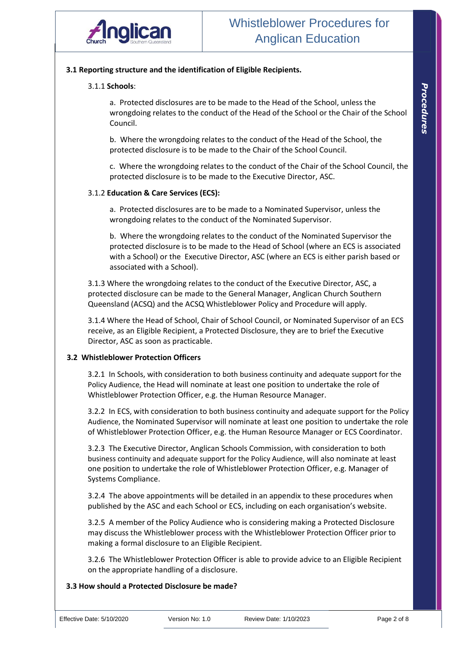

#### **3.1 Reporting structure and the identification of Eligible Recipients.**

#### 3.1.1 **Schools**:

a. Protected disclosures are to be made to the Head of the School, unless the wrongdoing relates to the conduct of the Head of the School or the Chair of the School Council.

b. Where the wrongdoing relates to the conduct of the Head of the School, the protected disclosure is to be made to the Chair of the School Council.

c. Where the wrongdoing relates to the conduct of the Chair of the School Council, the protected disclosure is to be made to the Executive Director, ASC.

#### 3.1.2 **Education & Care Services (ECS):**

a. Protected disclosures are to be made to a Nominated Supervisor, unless the wrongdoing relates to the conduct of the Nominated Supervisor.

b. Where the wrongdoing relates to the conduct of the Nominated Supervisor the protected disclosure is to be made to the Head of School (where an ECS is associated with a School) or the Executive Director, ASC (where an ECS is either parish based or associated with a School).

3.1.3 Where the wrongdoing relates to the conduct of the Executive Director, ASC, a protected disclosure can be made to the General Manager, Anglican Church Southern Queensland (ACSQ) and the ACSQ Whistleblower Policy and Procedure will apply.

3.1.4 Where the Head of School, Chair of School Council, or Nominated Supervisor of an ECS receive, as an Eligible Recipient, a Protected Disclosure, they are to brief the Executive Director, ASC as soon as practicable.

#### **3.2 Whistleblower Protection Officers**

3.2.1 In Schools, with consideration to both business continuity and adequate support for the Policy Audience, the Head will nominate at least one position to undertake the role of Whistleblower Protection Officer, e.g. the Human Resource Manager.

3.2.2 In ECS, with consideration to both business continuity and adequate support for the Policy Audience, the Nominated Supervisor will nominate at least one position to undertake the role of Whistleblower Protection Officer, e.g. the Human Resource Manager or ECS Coordinator.

3.2.3 The Executive Director, Anglican Schools Commission, with consideration to both business continuity and adequate support for the Policy Audience, will also nominate at least one position to undertake the role of Whistleblower Protection Officer, e.g. Manager of Systems Compliance.

3.2.4 The above appointments will be detailed in an appendix to these procedures when published by the ASC and each School or ECS, including on each organisation's website.

3.2.5 A member of the Policy Audience who is considering making a Protected Disclosure may discuss the Whistleblower process with the Whistleblower Protection Officer prior to making a formal disclosure to an Eligible Recipient.

3.2.6 The Whistleblower Protection Officer is able to provide advice to an Eligible Recipient on the appropriate handling of a disclosure.

#### **3.3 How should a Protected Disclosure be made?**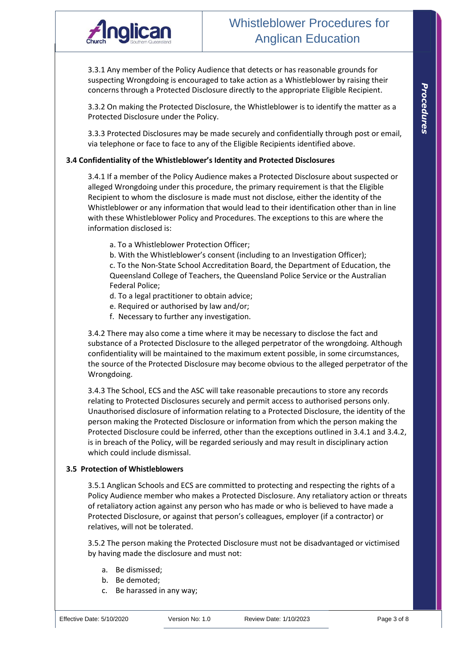

3.3.1 Any member of the Policy Audience that detects or has reasonable grounds for suspecting Wrongdoing is encouraged to take action as a Whistleblower by raising their concerns through a Protected Disclosure directly to the appropriate Eligible Recipient.

3.3.2 On making the Protected Disclosure, the Whistleblower is to identify the matter as a Protected Disclosure under the Policy.

3.3.3 Protected Disclosures may be made securely and confidentially through post or email, via telephone or face to face to any of the Eligible Recipients identified above.

#### **3.4 Confidentiality of the Whistleblower's Identity and Protected Disclosures**

3.4.1 If a member of the Policy Audience makes a Protected Disclosure about suspected or alleged Wrongdoing under this procedure, the primary requirement is that the Eligible Recipient to whom the disclosure is made must not disclose, either the identity of the Whistleblower or any information that would lead to their identification other than in line with these Whistleblower Policy and Procedures. The exceptions to this are where the information disclosed is:

- a. To a Whistleblower Protection Officer;
- b. With the Whistleblower's consent (including to an Investigation Officer);

c. To the Non-State School Accreditation Board, the Department of Education, the Queensland College of Teachers, the Queensland Police Service or the Australian Federal Police;

- d. To a legal practitioner to obtain advice;
- e. Required or authorised by law and/or;
- f. Necessary to further any investigation.

3.4.2 There may also come a time where it may be necessary to disclose the fact and substance of a Protected Disclosure to the alleged perpetrator of the wrongdoing. Although confidentiality will be maintained to the maximum extent possible, in some circumstances, the source of the Protected Disclosure may become obvious to the alleged perpetrator of the Wrongdoing.

3.4.3 The School, ECS and the ASC will take reasonable precautions to store any records relating to Protected Disclosures securely and permit access to authorised persons only. Unauthorised disclosure of information relating to a Protected Disclosure, the identity of the person making the Protected Disclosure or information from which the person making the Protected Disclosure could be inferred, other than the exceptions outlined in 3.4.1 and 3.4.2, is in breach of the Policy, will be regarded seriously and may result in disciplinary action which could include dismissal.

#### **3.5 Protection of Whistleblowers**

3.5.1 Anglican Schools and ECS are committed to protecting and respecting the rights of a Policy Audience member who makes a Protected Disclosure. Any retaliatory action or threats of retaliatory action against any person who has made or who is believed to have made a Protected Disclosure, or against that person's colleagues, employer (if a contractor) or relatives, will not be tolerated.

3.5.2 The person making the Protected Disclosure must not be disadvantaged or victimised by having made the disclosure and must not:

- a. Be dismissed;
- b. Be demoted;
- c. Be harassed in any way;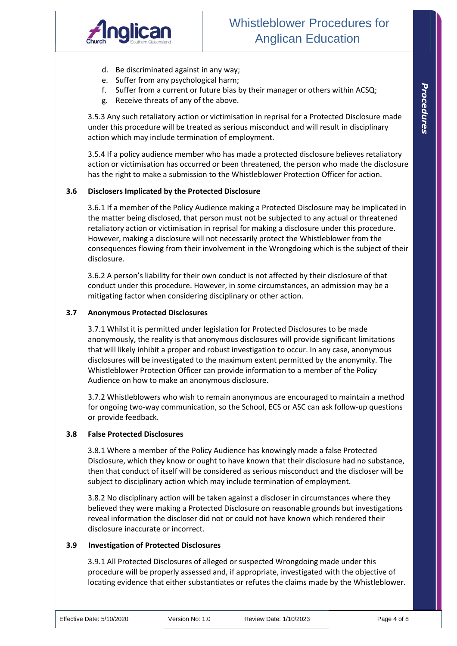

- d. Be discriminated against in any way;
- e. Suffer from any psychological harm;
- f. Suffer from a current or future bias by their manager or others within ACSQ;
- g. Receive threats of any of the above.

3.5.3 Any such retaliatory action or victimisation in reprisal for a Protected Disclosure made under this procedure will be treated as serious misconduct and will result in disciplinary action which may include termination of employment.

3.5.4 If a policy audience member who has made a protected disclosure believes retaliatory action or victimisation has occurred or been threatened, the person who made the disclosure has the right to make a submission to the Whistleblower Protection Officer for action.

#### **3.6 Disclosers Implicated by the Protected Disclosure**

3.6.1 If a member of the Policy Audience making a Protected Disclosure may be implicated in the matter being disclosed, that person must not be subjected to any actual or threatened retaliatory action or victimisation in reprisal for making a disclosure under this procedure. However, making a disclosure will not necessarily protect the Whistleblower from the consequences flowing from their involvement in the Wrongdoing which is the subject of their disclosure.

3.6.2 A person's liability for their own conduct is not affected by their disclosure of that conduct under this procedure. However, in some circumstances, an admission may be a mitigating factor when considering disciplinary or other action.

#### **3.7 Anonymous Protected Disclosures**

3.7.1 Whilst it is permitted under legislation for Protected Disclosures to be made anonymously, the reality is that anonymous disclosures will provide significant limitations that will likely inhibit a proper and robust investigation to occur. In any case, anonymous disclosures will be investigated to the maximum extent permitted by the anonymity. The Whistleblower Protection Officer can provide information to a member of the Policy Audience on how to make an anonymous disclosure.

3.7.2 Whistleblowers who wish to remain anonymous are encouraged to maintain a method for ongoing two-way communication, so the School, ECS or ASC can ask follow-up questions or provide feedback.

#### **3.8 False Protected Disclosures**

3.8.1 Where a member of the Policy Audience has knowingly made a false Protected Disclosure, which they know or ought to have known that their disclosure had no substance, then that conduct of itself will be considered as serious misconduct and the discloser will be subject to disciplinary action which may include termination of employment.

3.8.2 No disciplinary action will be taken against a discloser in circumstances where they believed they were making a Protected Disclosure on reasonable grounds but investigations reveal information the discloser did not or could not have known which rendered their disclosure inaccurate or incorrect.

#### **3.9 Investigation of Protected Disclosures**

3.9.1 All Protected Disclosures of alleged or suspected Wrongdoing made under this procedure will be properly assessed and, if appropriate, investigated with the objective of locating evidence that either substantiates or refutes the claims made by the Whistleblower.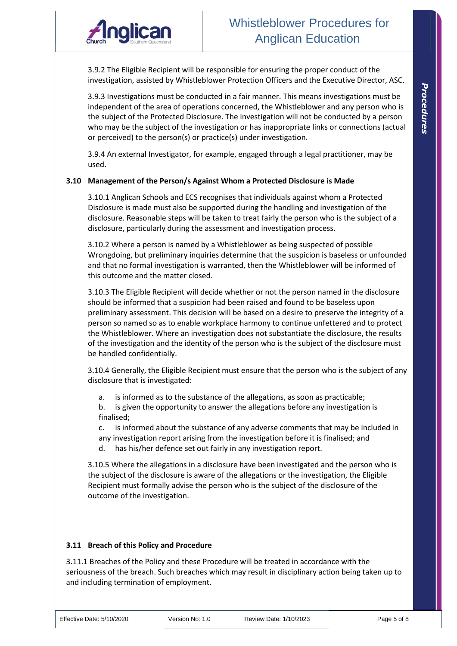

3.9.2 The Eligible Recipient will be responsible for ensuring the proper conduct of the investigation, assisted by Whistleblower Protection Officers and the Executive Director, ASC.

3.9.3 Investigations must be conducted in a fair manner. This means investigations must be independent of the area of operations concerned, the Whistleblower and any person who is the subject of the Protected Disclosure. The investigation will not be conducted by a person who may be the subject of the investigation or has inappropriate links or connections (actual or perceived) to the person(s) or practice(s) under investigation.

3.9.4 An external Investigator, for example, engaged through a legal practitioner, may be used.

#### **3.10 Management of the Person/s Against Whom a Protected Disclosure is Made**

3.10.1 Anglican Schools and ECS recognises that individuals against whom a Protected Disclosure is made must also be supported during the handling and investigation of the disclosure. Reasonable steps will be taken to treat fairly the person who is the subject of a disclosure, particularly during the assessment and investigation process.

3.10.2 Where a person is named by a Whistleblower as being suspected of possible Wrongdoing, but preliminary inquiries determine that the suspicion is baseless or unfounded and that no formal investigation is warranted, then the Whistleblower will be informed of this outcome and the matter closed.

3.10.3 The Eligible Recipient will decide whether or not the person named in the disclosure should be informed that a suspicion had been raised and found to be baseless upon preliminary assessment. This decision will be based on a desire to preserve the integrity of a person so named so as to enable workplace harmony to continue unfettered and to protect the Whistleblower. Where an investigation does not substantiate the disclosure, the results of the investigation and the identity of the person who is the subject of the disclosure must be handled confidentially.

3.10.4 Generally, the Eligible Recipient must ensure that the person who is the subject of any disclosure that is investigated:

- a. is informed as to the substance of the allegations, as soon as practicable;
- b. is given the opportunity to answer the allegations before any investigation is finalised;

c. is informed about the substance of any adverse comments that may be included in any investigation report arising from the investigation before it is finalised; and

d. has his/her defence set out fairly in any investigation report.

3.10.5 Where the allegations in a disclosure have been investigated and the person who is the subject of the disclosure is aware of the allegations or the investigation, the Eligible Recipient must formally advise the person who is the subject of the disclosure of the outcome of the investigation.

#### **3.11 Breach of this Policy and Procedure**

3.11.1 Breaches of the Policy and these Procedure will be treated in accordance with the seriousness of the breach. Such breaches which may result in disciplinary action being taken up to and including termination of employment.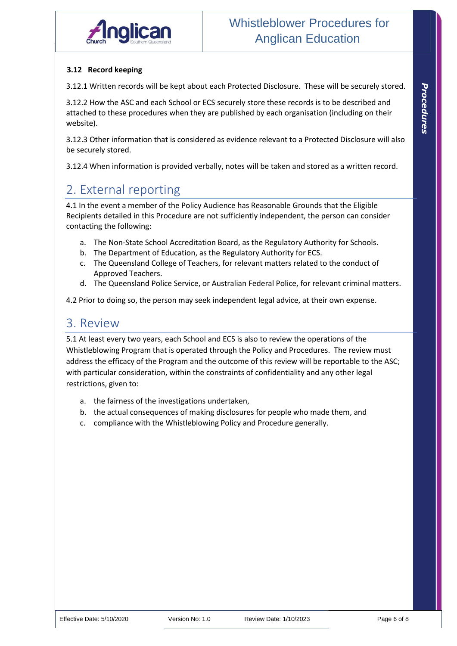#### **3.12 Record keeping**

3.12.1 Written records will be kept about each Protected Disclosure. These will be securely stored.

3.12.2 How the ASC and each School or ECS securely store these records is to be described and attached to these procedures when they are published by each organisation (including on their website).

3.12.3 Other information that is considered as evidence relevant to a Protected Disclosure will also be securely stored.

3.12.4 When information is provided verbally, notes will be taken and stored as a written record.

# 2. External reporting

4.1 In the event a member of the Policy Audience has Reasonable Grounds that the Eligible Recipients detailed in this Procedure are not sufficiently independent, the person can consider contacting the following:

- a. The Non-State School Accreditation Board, as the Regulatory Authority for Schools.
- b. The Department of Education, as the Regulatory Authority for ECS.
- c. The Queensland College of Teachers, for relevant matters related to the conduct of Approved Teachers.
- d. The Queensland Police Service, or Australian Federal Police, for relevant criminal matters.

4.2 Prior to doing so, the person may seek independent legal advice, at their own expense.

## 3. Review

5.1 At least every two years, each School and ECS is also to review the operations of the Whistleblowing Program that is operated through the Policy and Procedures. The review must address the efficacy of the Program and the outcome of this review will be reportable to the ASC; with particular consideration, within the constraints of confidentiality and any other legal restrictions, given to:

- a. the fairness of the investigations undertaken,
- b. the actual consequences of making disclosures for people who made them, and
- c. compliance with the Whistleblowing Policy and Procedure generally.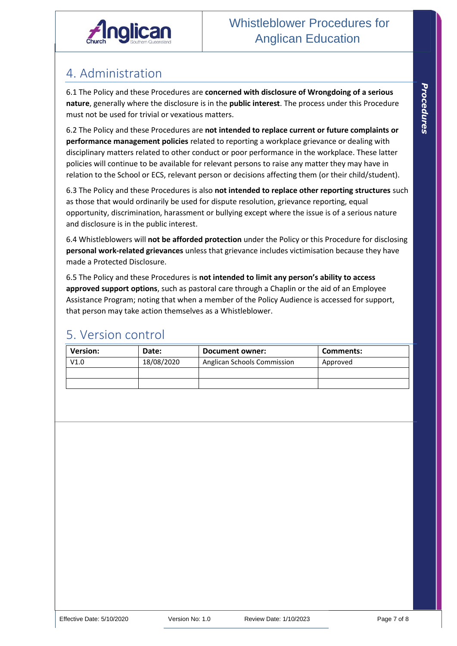

# 4. Administration

6.1 The Policy and these Procedures are **concerned with disclosure of Wrongdoing of a serious nature**, generally where the disclosure is in the **public interest**. The process under this Procedure must not be used for trivial or vexatious matters.

6.2 The Policy and these Procedures are **not intended to replace current or future complaints or performance management policies** related to reporting a workplace grievance or dealing with disciplinary matters related to other conduct or poor performance in the workplace. These latter policies will continue to be available for relevant persons to raise any matter they may have in relation to the School or ECS, relevant person or decisions affecting them (or their child/student).

6.3 The Policy and these Procedures is also **not intended to replace other reporting structures** such as those that would ordinarily be used for dispute resolution, grievance reporting, equal opportunity, discrimination, harassment or bullying except where the issue is of a serious nature and disclosure is in the public interest.

6.4 Whistleblowers will **not be afforded protection** under the Policy or this Procedure for disclosing **personal work-related grievances** unless that grievance includes victimisation because they have made a Protected Disclosure.

6.5 The Policy and these Procedures is **not intended to limit any person's ability to access approved support options**, such as pastoral care through a Chaplin or the aid of an Employee Assistance Program; noting that when a member of the Policy Audience is accessed for support, that person may take action themselves as a Whistleblower.

## 5. Version control

| <b>Version:</b> | Date:      | Document owner:             | Comments: |
|-----------------|------------|-----------------------------|-----------|
| V1.0            | 18/08/2020 | Anglican Schools Commission | Approved  |
|                 |            |                             |           |
|                 |            |                             |           |